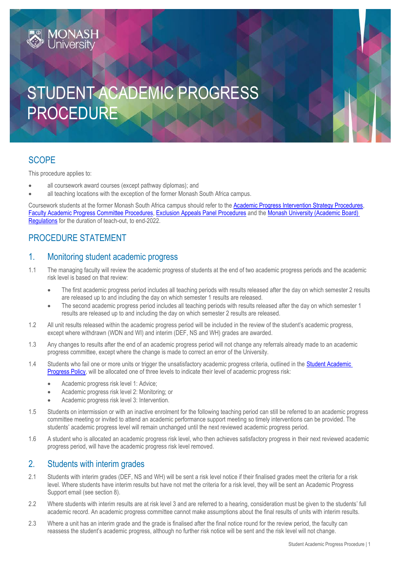# STUDENT ACADEMIC PROGRESS PROCEDURE

# **SCOPE**

This procedure applies to:

**MONASH**<br>University

- all coursework award courses (except pathway diplomas); and
- all teaching locations with the exception of the former Monash South Africa campus.

Coursework students at the former Monash South Africa campus should refer to th[e Academic Progress Intervention Strategy Procedures,](https://publicpolicydms.monash.edu/Monash/documents/1934247) [Faculty Academic Progress Committee](https://publicpolicydms.monash.edu/Monash/documents/1934256) Procedures, [Exclusion Appeals Panel Procedures](https://publicpolicydms.monash.edu/Monash/documents/1934255) and th[e Monash University \(Academic Board\)](https://www.monash.edu/legal/legislation/current-statute-regulations-and-related-resolutions)  [Regulations](https://www.monash.edu/legal/legislation/current-statute-regulations-and-related-resolutions) for the duration of teach-out, to end-2022.

# PROCEDURE STATEMENT

## 1. Monitoring student academic progress

- 1.1 The managing faculty will review the academic progress of students at the end of two academic progress periods and the academic risk level is based on that review:
	- The first academic progress period includes al[l teaching periods](https://www.monash.edu/exams/results/dates-access) with results released after the day on which semester 2 results are released up to and including the day on which semester 1 results are released.
	- The second academic progress period includes all [teaching periods](https://www.monash.edu/exams/results/dates-access) with results released after the day on which semester 1 results are released up to and including the day on which semester 2 results are released.
- 1.2 All unit results released within the academic progress period will be included in the review of the student's academic progress, except where withdrawn (WDN and WI) and interim (DEF, NS and WH) grades are awarded.
- 1.3 Any changes to results after the end of an academic progress period will not change any referrals already made to an academic progress committee, except where the change is made to correct an error of the University.
- 1.4 Students who fail one or more units or trigger the unsatisfactory academic progress criteria, outlined in the [Student Academic](https://publicpolicydms.monash.edu/Monash/documents/1935786)  [Progress Policy,](https://publicpolicydms.monash.edu/Monash/documents/1935786) will be allocated one of three levels to indicate their level of academic progress risk:
	- Academic progress risk level 1: Advice;
	- Academic progress risk level 2: Monitoring; or
	- Academic progress risk level 3: Intervention.
- 1.5 Students on intermission or with an inactive enrolment for the following teaching period can still be referred to an academic progress committee meeting or invited to attend an academic performance support meeting so timely interventions can be provided. The students' academic progress level will remain unchanged until the next reviewed academic progress period.
- 1.6 A student who is allocated an academic progress risk level, who then achieves satisfactory progress in their next reviewed academic progress period, will have the academic progress risk level removed.

## 2. Students with interim grades

- 2.1 Students with interim grades (DEF, NS and WH) will be sent a risk level notice if their finalised grades meet the criteria for a risk level. Where students have interim results but have not met the criteria for a risk level, they will be sent an Academic Progress Support email (see section 8).
- 2.2 Where students with interim results are at risk level 3 and are referred to a hearing, consideration must be given to the students' full academic record. An academic progress committee cannot make assumptions about the final results of units with interim results.
- 2.3 Where a unit has an interim grade and the grade is finalised after the final notice round for the review period, the faculty can reassess the student's academic progress, although no further risk notice will be sent and the risk level will not change.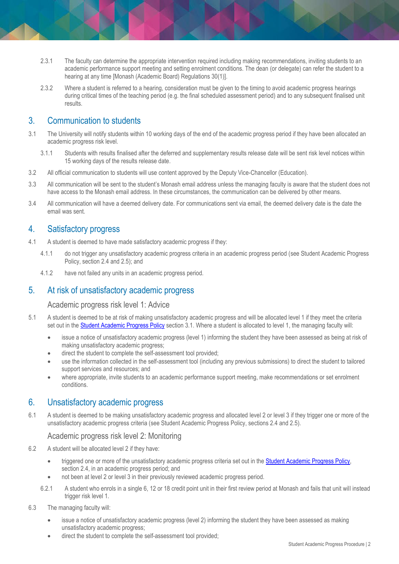- 2.3.1 The faculty can determine the appropriate intervention required including making recommendations, inviting students to an academic performance support meeting and setting enrolment conditions. The dean (or delegate) can refer the student to a hearing at any time [Monash (Academic Board) Regulations 30(1)].
- 2.3.2 Where a student is referred to a hearing, consideration must be given to the timing to avoid academic progress hearings during critical times of the teaching period (e.g. the final scheduled assessment period) and to any subsequent finalised unit results.

## 3. Communication to students

- 3.1 The University will notify students within 10 working days of the end of the academic progress period if they have been allocated an academic progress risk level.
	- 3.1.1 Students with results finalised after the deferred and supplementary results release date will be sent risk level notices within 15 working days of the results release date.
- 3.2 All official communication to students will use content approved by the Deputy Vice-Chancellor (Education).
- 3.3 All communication will be sent to the student's Monash email address unless the managing faculty is aware that the student does not have access to the Monash email address. In these circumstances, the communication can be delivered by other means.
- 3.4 All communication will have a deemed delivery date. For communications sent via email, the deemed delivery date is the date the email was sent.

## 4. Satisfactory progress

- 4.1 A student is deemed to have made satisfactory academic progress if they:
	- 4.1.1 do not trigger any unsatisfactory academic progress criteria in an academic progress period (see Student Academic Progress Policy, section 2.4 and 2.5); and
	- 4.1.2 have not failed any units in an academic progress period.

## 5. At risk of unsatisfactory academic progress

#### Academic progress risk level 1: Advice

- 5.1 A student is deemed to be at risk of making unsatisfactory academic progress and will be allocated level 1 if they meet the criteria set out in the [Student Academic Progress Policy](https://publicpolicydms.monash.edu/Monash/documents/1935786) section 3.1. Where a student is allocated to level 1, the managing faculty will:
	- issue a notice of unsatisfactory academic progress (level 1) informing the student they have been assessed as being at risk of making unsatisfactory academic progress;
	- direct the student to complete the self-assessment tool provided;
	- use the information collected in the self-assessment tool (including any previous submissions) to direct the student to tailored support services and resources; and
	- where appropriate, invite students to an academic performance support meeting, make recommendations or set enrolment conditions.

## 6. Unsatisfactory academic progress

6.1 A student is deemed to be making unsatisfactory academic progress and allocated level 2 or level 3 if they trigger one or more of the unsatisfactory academic progress criteria (see Student Academic Progress Policy, sections 2.4 and 2.5).

#### Academic progress risk level 2: Monitoring

- 6.2 A student will be allocated level 2 if they have:
	- triggered one or more of the unsatisfactory academic progress criteria set out in the Student Academic Progress Policy, section 2.4, in an academic progress period; and
	- not been at level 2 or level 3 in their previously reviewed academic progress period.
	- 6.2.1 A student who enrols in a single 6, 12 or 18 credit point unit in their first review period at Monash and fails that unit will instead trigger risk level 1.
- 6.3 The managing faculty will:
	- issue a notice of unsatisfactory academic progress (level 2) informing the student they have been assessed as making unsatisfactory academic progress;
	- direct the student to complete the self-assessment tool provided;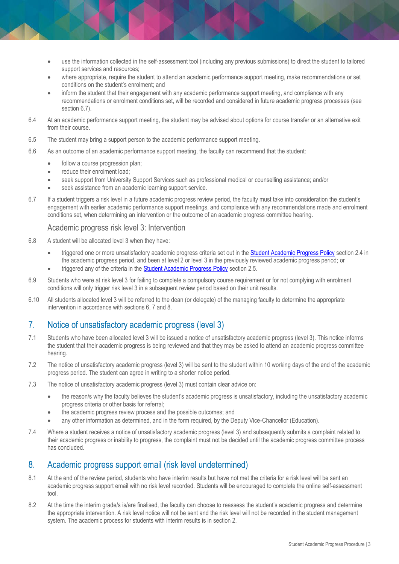- use the information collected in the self-assessment tool (including any previous submissions) to direct the student to tailored support services and resources;
- where appropriate, require the student to attend an academic performance support meeting, make recommendations or set conditions on the student's enrolment; and
- inform the student that their engagement with any academic performance support meeting, and compliance with any recommendations or enrolment conditions set, will be recorded and considered in future academic progress processes (see section 6.7).
- 6.4 At an academic performance support meeting, the student may be advised about options for course transfer or an alternative exit from their course.
- 6.5 The student may bring a support person to the academic performance support meeting.
- 6.6 As an outcome of an academic performance support meeting, the faculty can recommend that the student:
	- follow a course progression plan;
	- reduce their enrolment load;
	- seek support from University Support Services such as professional medical or counselling assistance; and/or
	- seek assistance from an academic learning support service.
- 6.7 If a student triggers a risk level in a future academic progress review period, the faculty must take into consideration the student's engagement with earlier academic performance support meetings, and compliance with any recommendations made and enrolment conditions set, when determining an intervention or the outcome of an academic progress committee hearing.

#### Academic progress risk level 3: Intervention

- 6.8 A student will be allocated level 3 when they have:
	- triggered one or more unsatisfactory academic progress criteria set out in the **Student Academic Progress Policy** section 2.4 in the academic progress period, and been at level 2 or level 3 in the previously reviewed academic progress period; or
	- triggered any of the criteria in the [Student Academic Progress Policy](https://publicpolicydms.monash.edu/Monash/documents/1935786) section 2.5.
- 6.9 Students who were at risk level 3 for failing to complete a compulsory course requirement or for not complying with enrolment conditions will only trigger risk level 3 in a subsequent review period based on their unit results.
- 6.10 All students allocated level 3 will be referred to the dean (or delegate) of the managing faculty to determine the appropriate intervention in accordance with sections 6, 7 and 8.

## 7. Notice of unsatisfactory academic progress (level 3)

- 7.1 Students who have been allocated level 3 will be issued a notice of unsatisfactory academic progress (level 3). This notice informs the student that their academic progress is being reviewed and that they may be asked to attend an academic progress committee hearing.
- 7.2 The notice of unsatisfactory academic progress (level 3) will be sent to the student within 10 working days of the end of the academic progress period. The student can agree in writing to a shorter notice period.
- 7.3 The notice of unsatisfactory academic progress (level 3) must contain clear advice on:
	- the reason/s why the faculty believes the student's academic progress is unsatisfactory, including the unsatisfactory academic progress criteria or other basis for referral;
	- the academic progress review process and the possible outcomes; and
	- any other information as determined, and in the form required, by the Deputy Vice-Chancellor (Education).
- 7.4 Where a student receives a notice of unsatisfactory academic progress (level 3) and subsequently submits a complaint related to their academic progress or inability to progress, the complaint must not be decided until the academic progress committee process has concluded.

#### 8. Academic progress support email (risk level undetermined)

- 8.1 At the end of the review period, students who have interim results but have not met the criteria for a risk level will be sent an academic progress support email with no risk level recorded. Students will be encouraged to complete the online self-assessment tool.
- 8.2 At the time the interim grade/s is/are finalised, the faculty can choose to reassess the student's academic progress and determine the appropriate intervention. A risk level notice will not be sent and the risk level will not be recorded in the student management system. The academic process for students with interim results is in section 2.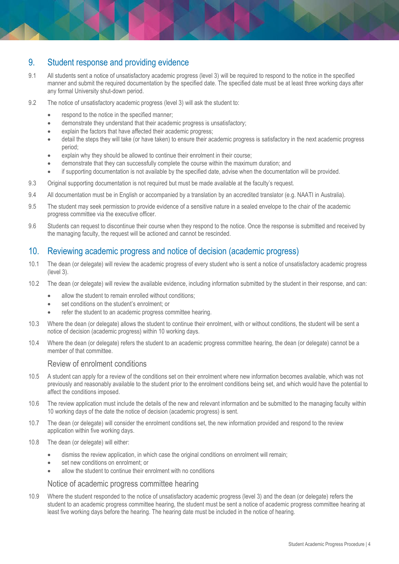### 9. Student response and providing evidence

- 9.1 All students sent a notice of unsatisfactory academic progress (level 3) will be required to respond to the notice in the specified manner and submit the required documentation by the specified date. The specified date must be at least three working days after any formal University shut-down period.
- 9.2 The notice of unsatisfactory academic progress (level 3) will ask the student to:
	- respond to the notice in the specified manner;
	- demonstrate they understand that their academic progress is unsatisfactory;
	- explain the factors that have affected their academic progress;
	- detail the steps they will take (or have taken) to ensure their academic progress is satisfactory in the next academic progress period;
	- explain why they should be allowed to continue their enrolment in their course;
	- demonstrate that they can successfully complete the course within the maximum duration; and
	- if supporting documentation is not available by the specified date, advise when the documentation will be provided.
- 9.3 Original supporting documentation is not required but must be made available at the faculty's request.
- 9.4 All documentation must be in English or accompanied by a translation by an accredited translator (e.g. NAATI in Australia).
- 9.5 The student may seek permission to provide evidence of a sensitive nature in a sealed envelope to the chair of the academic progress committee via the executive officer.
- 9.6 Students can request to discontinue their course when they respond to the notice. Once the response is submitted and received by the managing faculty, the request will be actioned and cannot be rescinded.

#### 10. Reviewing academic progress and notice of decision (academic progress)

- 10.1 The dean (or delegate) will review the academic progress of every student who is sent a notice of unsatisfactory academic progress (level 3).
- 10.2 The dean (or delegate) will review the available evidence, including information submitted by the student in their response, and can:
	- allow the student to remain enrolled without conditions;
	- set conditions on the student's enrolment; or
	- refer the student to an academic progress committee hearing.
- 10.3 Where the dean (or delegate) allows the student to continue their enrolment, with or without conditions, the student will be sent a notice of decision (academic progress) within 10 working days.
- 10.4 Where the dean (or delegate) refers the student to an academic progress committee hearing, the dean (or delegate) cannot be a member of that committee.

#### Review of enrolment conditions

- 10.5 A student can apply for a review of the conditions set on their enrolment where new information becomes available, which was not previously and reasonably available to the student prior to the enrolment conditions being set, and which would have the potential to affect the conditions imposed.
- 10.6 The review application must include the details of the new and relevant information and be submitted to the managing faculty within 10 working days of the date the notice of decision (academic progress) is sent.
- 10.7 The dean (or delegate) will consider the enrolment conditions set, the new information provided and respond to the review application within five working days.
- 10.8 The dean (or delegate) will either:
	- dismiss the review application, in which case the original conditions on enrolment will remain;
	- set new conditions on enrolment; or
	- allow the student to continue their enrolment with no conditions

#### Notice of academic progress committee hearing

10.9 Where the student responded to the notice of unsatisfactory academic progress (level 3) and the dean (or delegate) refers the student to an academic progress committee hearing, the student must be sent a notice of academic progress committee hearing at least five working days before the hearing. The hearing date must be included in the notice of hearing.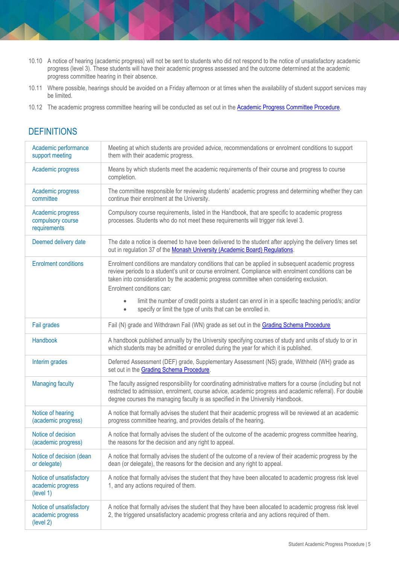- 10.10 A notice of hearing (academic progress) will not be sent to students who did not respond to the notice of unsatisfactory academic progress (level 3). These students will have their academic progress assessed and the outcome determined at the academic progress committee hearing in their absence.
- 10.11 Where possible, hearings should be avoided on a Friday afternoon or at times when the availability of student support services may be limited.
- 10.12 The academic progress committee hearing will be conducted as set out in the [Academic Progress Committee Procedure.](https://publicpolicydms.monash.edu/Monash/documents/1935787)

## **DEFINITIONS**

| Academic performance<br>support meeting                    | Meeting at which students are provided advice, recommendations or enrolment conditions to support<br>them with their academic progress.                                                                                                                                                                                          |
|------------------------------------------------------------|----------------------------------------------------------------------------------------------------------------------------------------------------------------------------------------------------------------------------------------------------------------------------------------------------------------------------------|
| Academic progress                                          | Means by which students meet the academic requirements of their course and progress to course<br>completion.                                                                                                                                                                                                                     |
| Academic progress<br>committee                             | The committee responsible for reviewing students' academic progress and determining whether they can<br>continue their enrolment at the University.                                                                                                                                                                              |
| Academic progress<br>compulsory course<br>requirements     | Compulsory course requirements, listed in the Handbook, that are specific to academic progress<br>processes. Students who do not meet these requirements will trigger risk level 3.                                                                                                                                              |
| Deemed delivery date                                       | The date a notice is deemed to have been delivered to the student after applying the delivery times set<br>out in regulation 37 of the Monash University (Academic Board) Regulations.                                                                                                                                           |
| <b>Enrolment conditions</b>                                | Enrolment conditions are mandatory conditions that can be applied in subsequent academic progress<br>review periods to a student's unit or course enrolment. Compliance with enrolment conditions can be<br>taken into consideration by the academic progress committee when considering exclusion.<br>Enrolment conditions can: |
|                                                            | limit the number of credit points a student can enrol in in a specific teaching period/s; and/or<br>specify or limit the type of units that can be enrolled in.<br>$\bullet$                                                                                                                                                     |
| Fail grades                                                | Fail (N) grade and Withdrawn Fail (WN) grade as set out in the Grading Schema Procedure                                                                                                                                                                                                                                          |
| Handbook                                                   | A handbook published annually by the University specifying courses of study and units of study to or in<br>which students may be admitted or enrolled during the year for which it is published.                                                                                                                                 |
| Interim grades                                             | Deferred Assessment (DEF) grade, Supplementary Assessment (NS) grade, Withheld (WH) grade as<br>set out in the Grading Schema Procedure.                                                                                                                                                                                         |
| <b>Managing faculty</b>                                    | The faculty assigned responsibility for coordinating administrative matters for a course (including but not<br>restricted to admission, enrolment, course advice, academic progress and academic referral). For double<br>degree courses the managing faculty is as specified in the University Handbook.                        |
| Notice of hearing<br>(academic progress)                   | A notice that formally advises the student that their academic progress will be reviewed at an academic<br>progress committee hearing, and provides details of the hearing.                                                                                                                                                      |
| Notice of decision<br>(academic progress)                  | A notice that formally advises the student of the outcome of the academic progress committee hearing,<br>the reasons for the decision and any right to appeal.                                                                                                                                                                   |
| Notice of decision (dean<br>or delegate)                   | A notice that formally advises the student of the outcome of a review of their academic progress by the<br>dean (or delegate), the reasons for the decision and any right to appeal.                                                                                                                                             |
| Notice of unsatisfactory<br>academic progress<br>(level 1) | A notice that formally advises the student that they have been allocated to academic progress risk level<br>1, and any actions required of them.                                                                                                                                                                                 |
| Notice of unsatisfactory<br>academic progress<br>(level 2) | A notice that formally advises the student that they have been allocated to academic progress risk level<br>2, the triggered unsatisfactory academic progress criteria and any actions required of them.                                                                                                                         |